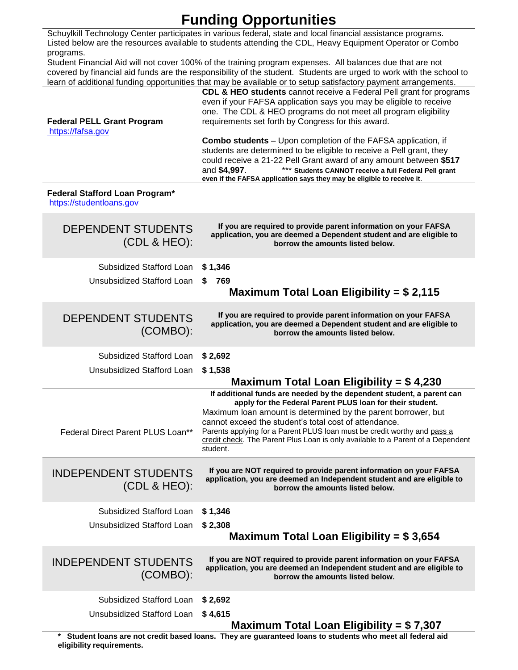## **Funding Opportunities**

Schuylkill Technology Center participates in various federal, state and local financial assistance programs. Listed below are the resources available to students attending the CDL, Heavy Equipment Operator or Combo programs.

Student Financial Aid will not cover 100% of the training program expenses. All balances due that are not covered by financial aid funds are the responsibility of the student. Students are urged to work with the school to learn of additional funding opportunities that may be available or to setup satisfactory payment arrangements.

| <b>Federal PELL Grant Program</b><br>https://fafsa.gov     | CDL & HEO students cannot receive a Federal Pell grant for programs<br>even if your FAFSA application says you may be eligible to receive<br>one. The CDL & HEO programs do not meet all program eligibility<br>requirements set forth by Congress for this award.<br><b>Combo students</b> – Upon completion of the FAFSA application, if<br>students are determined to be eligible to receive a Pell grant, they<br>could receive a 21-22 Pell Grant award of any amount between \$517<br>*** Students CANNOT receive a full Federal Pell grant<br>and \$4,997.<br>even if the FAFSA application says they may be eligible to receive it. |
|------------------------------------------------------------|---------------------------------------------------------------------------------------------------------------------------------------------------------------------------------------------------------------------------------------------------------------------------------------------------------------------------------------------------------------------------------------------------------------------------------------------------------------------------------------------------------------------------------------------------------------------------------------------------------------------------------------------|
| Federal Stafford Loan Program*<br>https://studentloans.gov |                                                                                                                                                                                                                                                                                                                                                                                                                                                                                                                                                                                                                                             |
| <b>DEPENDENT STUDENTS</b><br>(CDL & HEO):                  | If you are required to provide parent information on your FAFSA<br>application, you are deemed a Dependent student and are eligible to<br>borrow the amounts listed below.                                                                                                                                                                                                                                                                                                                                                                                                                                                                  |
| Subsidized Stafford Loan                                   | \$1,346                                                                                                                                                                                                                                                                                                                                                                                                                                                                                                                                                                                                                                     |
| Unsubsidized Stafford Loan                                 | 769<br>S<br>Maximum Total Loan Eligibility = $$2,115$                                                                                                                                                                                                                                                                                                                                                                                                                                                                                                                                                                                       |
| <b>DEPENDENT STUDENTS</b><br>(COMBO):                      | If you are required to provide parent information on your FAFSA<br>application, you are deemed a Dependent student and are eligible to<br>borrow the amounts listed below.                                                                                                                                                                                                                                                                                                                                                                                                                                                                  |
| Subsidized Stafford Loan                                   | \$2,692                                                                                                                                                                                                                                                                                                                                                                                                                                                                                                                                                                                                                                     |
| Unsubsidized Stafford Loan                                 | \$1,538                                                                                                                                                                                                                                                                                                                                                                                                                                                                                                                                                                                                                                     |
|                                                            | Maximum Total Loan Eligibility = $$4,230$<br>If additional funds are needed by the dependent student, a parent can                                                                                                                                                                                                                                                                                                                                                                                                                                                                                                                          |
| Federal Direct Parent PLUS Loan**                          | apply for the Federal Parent PLUS loan for their student.<br>Maximum loan amount is determined by the parent borrower, but<br>cannot exceed the student's total cost of attendance.<br>Parents applying for a Parent PLUS loan must be credit worthy and pass a<br>credit check. The Parent Plus Loan is only available to a Parent of a Dependent<br>student.                                                                                                                                                                                                                                                                              |
| <b>INDEPENDENT STUDENTS</b><br>(CDL & HEO):                | If you are NOT required to provide parent information on your FAFSA<br>application, you are deemed an Independent student and are eligible to<br>borrow the amounts listed below.                                                                                                                                                                                                                                                                                                                                                                                                                                                           |
| Subsidized Stafford Loan                                   | \$1,346                                                                                                                                                                                                                                                                                                                                                                                                                                                                                                                                                                                                                                     |
| Unsubsidized Stafford Loan                                 | \$2,308                                                                                                                                                                                                                                                                                                                                                                                                                                                                                                                                                                                                                                     |
|                                                            | Maximum Total Loan Eligibility = $$3,654$                                                                                                                                                                                                                                                                                                                                                                                                                                                                                                                                                                                                   |
| <b>INDEPENDENT STUDENTS</b><br>(COMBO):                    | If you are NOT required to provide parent information on your FAFSA<br>application, you are deemed an Independent student and are eligible to<br>borrow the amounts listed below.                                                                                                                                                                                                                                                                                                                                                                                                                                                           |
| Subsidized Stafford Loan                                   | \$2,692                                                                                                                                                                                                                                                                                                                                                                                                                                                                                                                                                                                                                                     |
| Unsubsidized Stafford Loan                                 | \$4,615                                                                                                                                                                                                                                                                                                                                                                                                                                                                                                                                                                                                                                     |
|                                                            | Maximum Total Loan Eligibility = $$7,307$<br>have are and tradit has all cancers thay are determined loans to students who meet all federal aid                                                                                                                                                                                                                                                                                                                                                                                                                                                                                             |

**Exedit based loans. They are guaranteed loans to students who meet all federal aid**  $\,$ **eligibility requirements.**